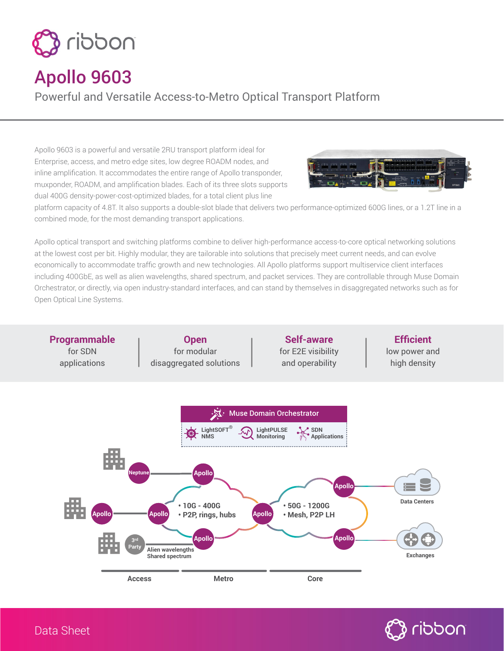

## Apollo 9603

Powerful and Versatile Access-to-Metro Optical Transport Platform

Apollo 9603 is a powerful and versatile 2RU transport platform ideal for Enterprise, access, and metro edge sites, low degree ROADM nodes, and inline amplification. It accommodates the entire range of Apollo transponder, muxponder, ROADM, and amplification blades. Each of its three slots supports dual 400G density-power-cost-optimized blades, for a total client plus line



platform capacity of 4.8T. It also supports a double-slot blade that delivers two performance-optimized 600G lines, or a 1.2T line in a combined mode, for the most demanding transport applications.

Apollo optical transport and switching platforms combine to deliver high-performance access-to-core optical networking solutions at the lowest cost per bit. Highly modular, they are tailorable into solutions that precisely meet current needs, and can evolve economically to accommodate traffic growth and new technologies. All Apollo platforms support multiservice client interfaces including 400GbE, as well as alien wavelengths, shared spectrum, and packet services. They are controllable through Muse Domain Orchestrator, or directly, via open industry-standard interfaces, and can stand by themselves in disaggregated networks such as for Open Optical Line Systems.